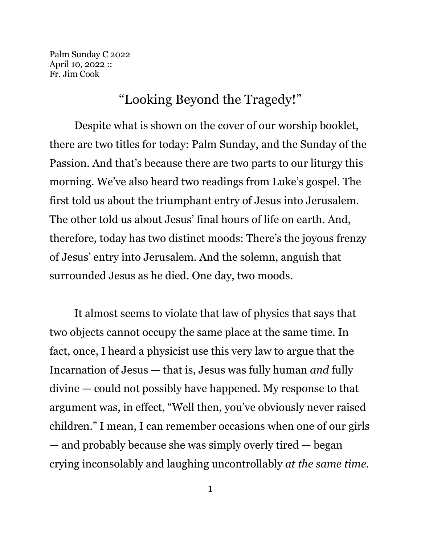Palm Sunday C 2022 April 10, 2022 :: Fr. Jim Cook

## "Looking Beyond the Tragedy!"

Despite what is shown on the cover of our worship booklet, there are two titles for today: Palm Sunday, and the Sunday of the Passion. And that's because there are two parts to our liturgy this morning. We've also heard two readings from Luke's gospel. The first told us about the triumphant entry of Jesus into Jerusalem. The other told us about Jesus' final hours of life on earth. And, therefore, today has two distinct moods: There's the joyous frenzy of Jesus' entry into Jerusalem. And the solemn, anguish that surrounded Jesus as he died. One day, two moods.

It almost seems to violate that law of physics that says that two objects cannot occupy the same place at the same time. In fact, once, I heard a physicist use this very law to argue that the Incarnation of Jesus — that is, Jesus was fully human *and* fully divine — could not possibly have happened. My response to that argument was, in effect, "Well then, you've obviously never raised children." I mean, I can remember occasions when one of our girls — and probably because she was simply overly tired — began crying inconsolably and laughing uncontrollably *at the same time.*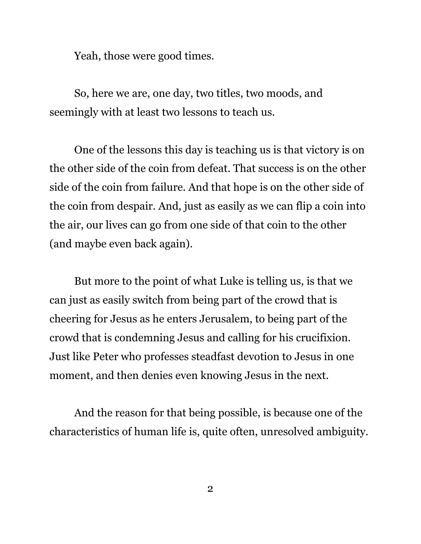Yeah, those were good times.

So, here we are, one day, two titles, two moods, and seemingly with at least two lessons to teach us.

One of the lessons this day is teaching us is that victory is on the other side of the coin from defeat. That success is on the other side of the coin from failure. And that hope is on the other side of the coin from despair. And, just as easily as we can flip a coin into the air, our lives can go from one side of that coin to the other (and maybe even back again).

But more to the point of what Luke is telling us, is that we can just as easily switch from being part of the crowd that is cheering for Jesus as he enters Jerusalem, to being part of the crowd that is condemning Jesus and calling for his crucifixion. Just like Peter who professes steadfast devotion to Jesus in one moment, and then denies even knowing Jesus in the next.

And the reason for that being possible, is because one of the characteristics of human life is, quite often, unresolved ambiguity.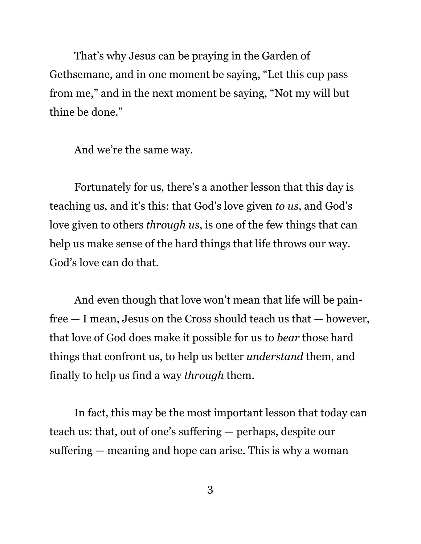That's why Jesus can be praying in the Garden of Gethsemane, and in one moment be saying, "Let this cup pass from me," and in the next moment be saying, "Not my will but thine be done."

And we're the same way.

Fortunately for us, there's a another lesson that this day is teaching us, and it's this: that God's love given *to us*, and God's love given to others *through us*, is one of the few things that can help us make sense of the hard things that life throws our way. God's love can do that.

And even though that love won't mean that life will be painfree — I mean, Jesus on the Cross should teach us that — however, that love of God does make it possible for us to *bear* those hard things that confront us, to help us better *understand* them, and finally to help us find a way *through* them.

In fact, this may be the most important lesson that today can teach us: that, out of one's suffering — perhaps, despite our suffering — meaning and hope can arise. This is why a woman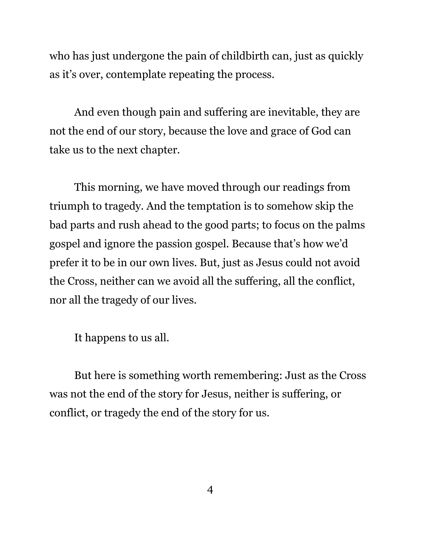who has just undergone the pain of childbirth can, just as quickly as it's over, contemplate repeating the process.

And even though pain and suffering are inevitable, they are not the end of our story, because the love and grace of God can take us to the next chapter.

This morning, we have moved through our readings from triumph to tragedy. And the temptation is to somehow skip the bad parts and rush ahead to the good parts; to focus on the palms gospel and ignore the passion gospel. Because that's how we'd prefer it to be in our own lives. But, just as Jesus could not avoid the Cross, neither can we avoid all the suffering, all the conflict, nor all the tragedy of our lives.

It happens to us all.

But here is something worth remembering: Just as the Cross was not the end of the story for Jesus, neither is suffering, or conflict, or tragedy the end of the story for us.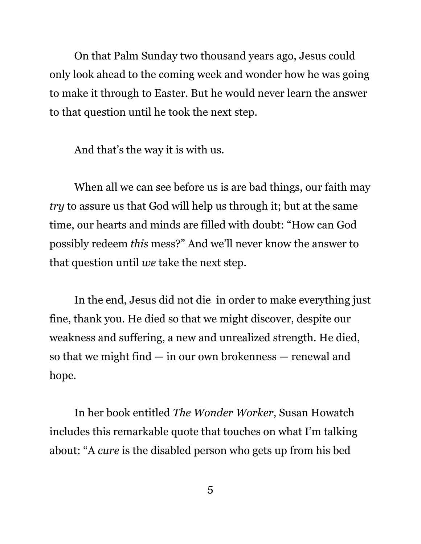On that Palm Sunday two thousand years ago, Jesus could only look ahead to the coming week and wonder how he was going to make it through to Easter. But he would never learn the answer to that question until he took the next step.

And that's the way it is with us.

When all we can see before us is are bad things, our faith may *try* to assure us that God will help us through it; but at the same time, our hearts and minds are filled with doubt: "How can God possibly redeem *this* mess?" And we'll never know the answer to that question until *we* take the next step.

In the end, Jesus did not die in order to make everything just fine, thank you. He died so that we might discover, despite our weakness and suffering, a new and unrealized strength. He died, so that we might find — in our own brokenness — renewal and hope.

In her book entitled *The Wonder Worker*, Susan Howatch includes this remarkable quote that touches on what I'm talking about: "A *cure* is the disabled person who gets up from his bed